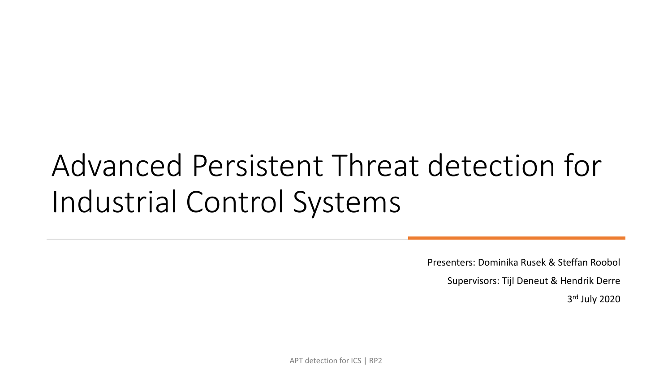# Advanced Persistent Threat detection for Industrial Control Systems

Presenters: Dominika Rusek & Steffan Roobol

Supervisors: Tijl Deneut & Hendrik Derre

3 rd July 2020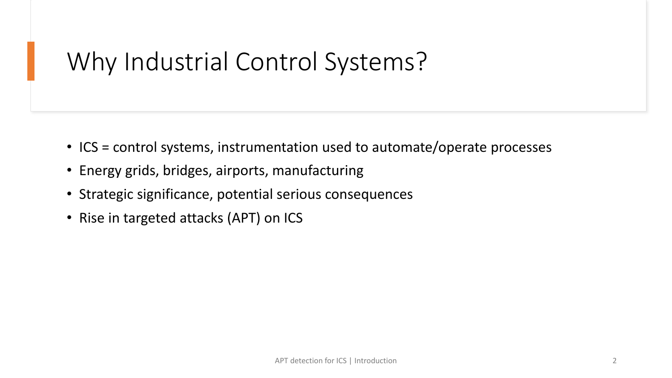# Why Industrial Control Systems?

- ICS = control systems, instrumentation used to automate/operate processes
- Energy grids, bridges, airports, manufacturing
- Strategic significance, potential serious consequences
- Rise in targeted attacks (APT) on ICS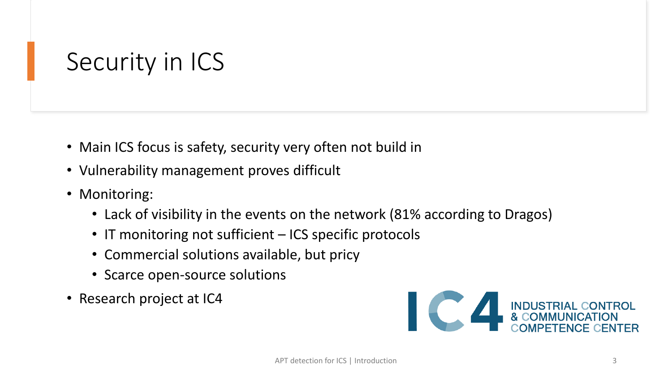# Security in ICS

- Main ICS focus is safety, security very often not build in
- Vulnerability management proves difficult
- Monitoring:
	- Lack of visibility in the events on the network (81% according to Dragos)
	- IT monitoring not sufficient ICS specific protocols
	- Commercial solutions available, but pricy
	- Scarce open-source solutions
- Research project at IC4

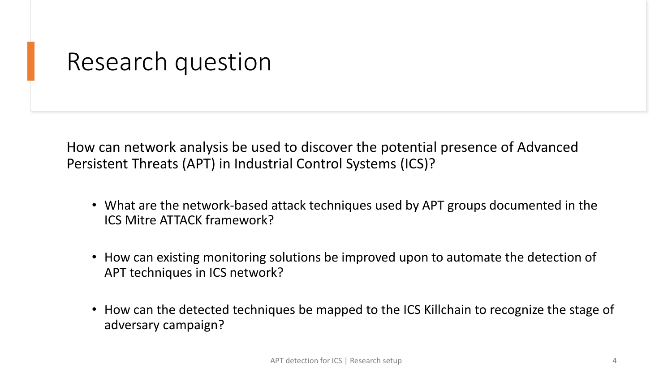### Research question

How can network analysis be used to discover the potential presence of Advanced Persistent Threats (APT) in Industrial Control Systems (ICS)?

- What are the network-based attack techniques used by APT groups documented in the ICS Mitre ATTACK framework?
- How can existing monitoring solutions be improved upon to automate the detection of APT techniques in ICS network?
- How can the detected techniques be mapped to the ICS Killchain to recognize the stage of adversary campaign?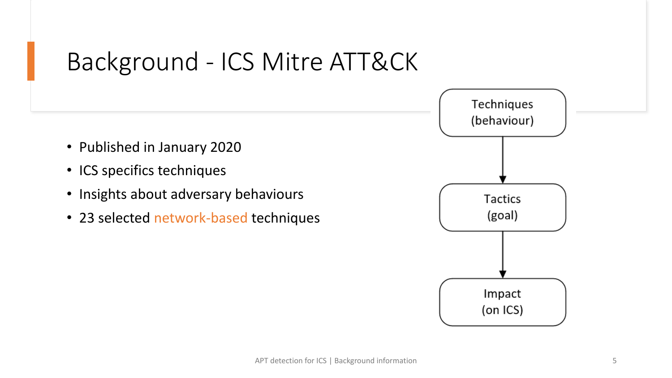# Background - ICS Mitre ATT&CK

- Published in January 2020
- ICS specifics techniques
- Insights about adversary behaviours
- 23 selected network-based techniques

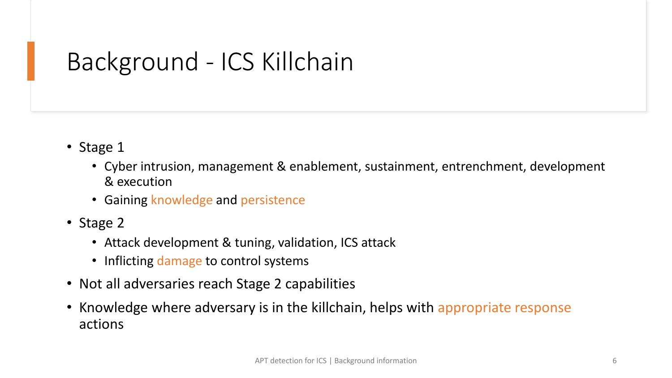# Background - ICS Killchain

- Stage 1
	- Cyber intrusion, management & enablement, sustainment, entrenchment, development & execution
	- Gaining knowledge and persistence
- Stage 2
	- Attack development & tuning, validation, ICS attack
	- Inflicting damage to control systems
- Not all adversaries reach Stage 2 capabilities
- Knowledge where adversary is in the killchain, helps with appropriate response actions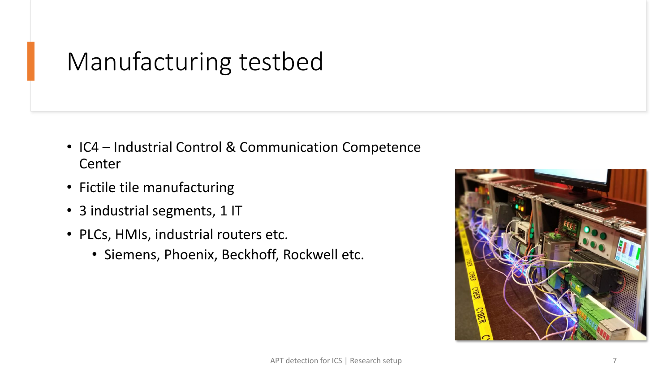# Manufacturing testbed

- IC4 Industrial Control & Communication Competence Center
- Fictile tile manufacturing
- 3 industrial segments, 1 IT
- PLCs, HMIs, industrial routers etc.
	- Siemens, Phoenix, Beckhoff, Rockwell etc.

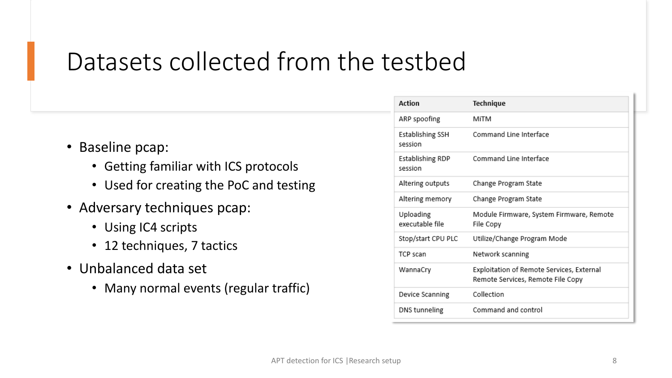### Datasets collected from the testbed

- Baseline pcap:
	- Getting familiar with ICS protocols
	- Used for creating the PoC and testing
- Adversary techniques pcap:
	- Using IC4 scripts
	- 12 techniques, 7 tactics
- Unbalanced data set
	- Many normal events (regular traffic)

| Action                       | Technique                                                                      |  |
|------------------------------|--------------------------------------------------------------------------------|--|
| ARP spoofing                 | MiTM                                                                           |  |
| Establishing SSH<br>session  | Command Line Interface                                                         |  |
| Establishing RDP<br>session  | Command Line Interface                                                         |  |
| Altering outputs             | Change Program State                                                           |  |
| Altering memory              | Change Program State                                                           |  |
| Uploading<br>executable file | Module Firmware, System Firmware, Remote<br>File Copy                          |  |
| Stop/start CPU PLC           | Utilize/Change Program Mode                                                    |  |
| TCP scan                     | Network scanning                                                               |  |
| WannaCry                     | Exploitation of Remote Services, External<br>Remote Services, Remote File Copy |  |
| Device Scanning              | Collection                                                                     |  |
| DNS tunneling                | Command and control                                                            |  |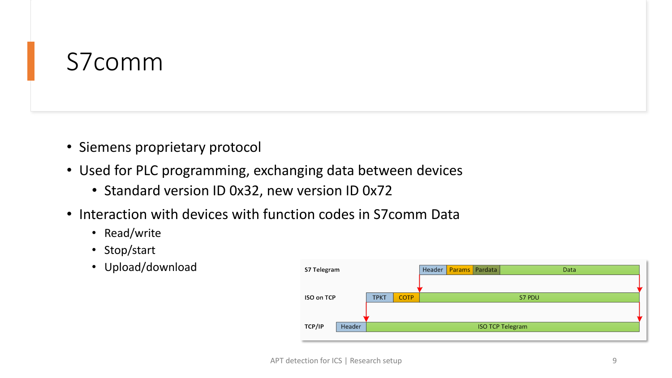# S7comm

- Siemens proprietary protocol
- Used for PLC programming, exchanging data between devices
	- Standard version ID 0x32, new version ID 0x72
- Interaction with devices with function codes in S7comm Data
	- Read/write
	- Stop/start
	- Upload/download

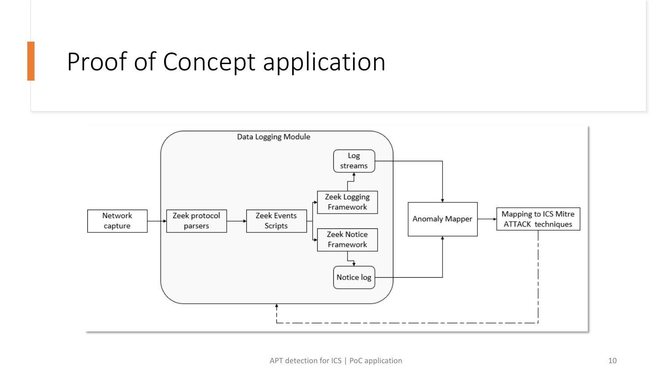# Proof of Concept application

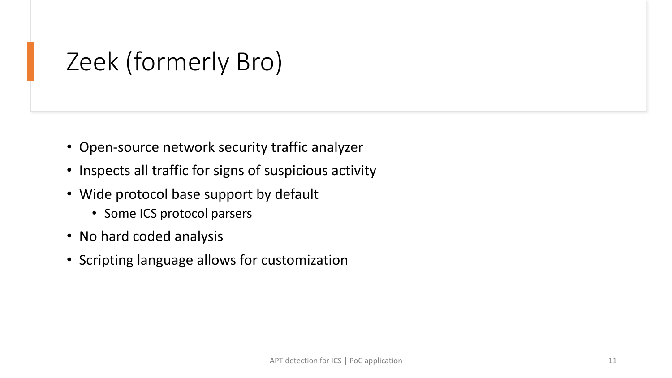# Zeek (formerly Bro)

- Open-source network security traffic analyzer
- Inspects all traffic for signs of suspicious activity
- Wide protocol base support by default
	- Some ICS protocol parsers
- No hard coded analysis
- Scripting language allows for customization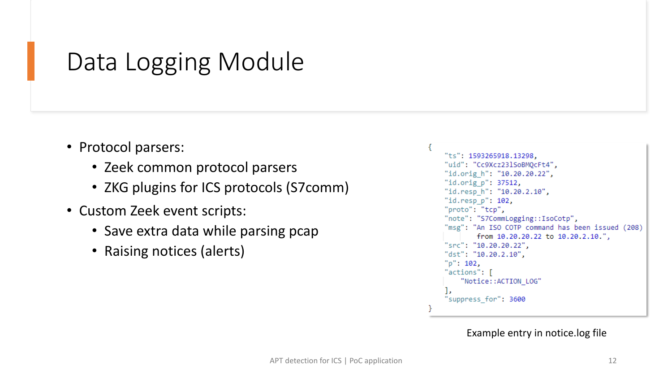# Data Logging Module

- Protocol parsers:
	- Zeek common protocol parsers
	- ZKG plugins for ICS protocols (S7comm)
- Custom Zeek event scripts:
	- Save extra data while parsing pcap
	- Raising notices (alerts)

```
"ts": 1593265918.13298.
"uid": "Cc9Xcz23lSoBMOcFt4",
"id.orig h": "10.20.20.22",
"id.orig p": 37512,
"id.resp_h": "10.20.2.10",
"id.resp p": 102.
"proto": "tcp",
"note": "S7CommLogging::IsoCotp",
"msg": "An ISO COTP command has been issued (208)
        from 10.20.20.22 to 10.20.2.10.",
"src": "10.20.20.22",
"dst": "10.20.2.10",
"p": 102,
"actions": [
    "Notice:: ACTION_LOG"
"suppress for": 3600
```
#### Example entry in notice.log file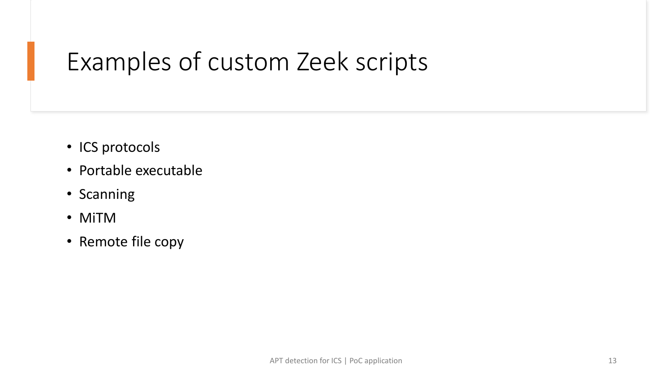# Examples of custom Zeek scripts

- ICS protocols
- Portable executable
- Scanning
- MiTM
- Remote file copy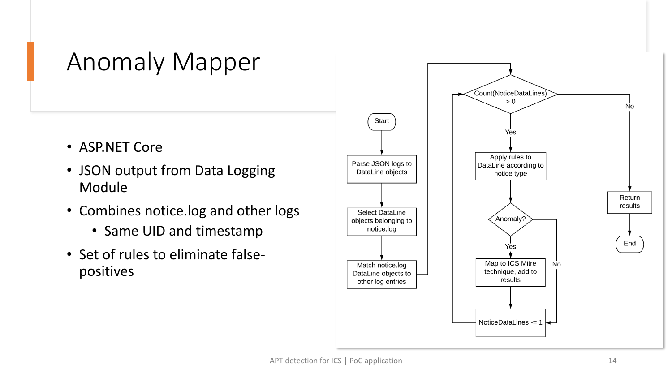# Anomaly Mapper

- ASP.NET Core
- JSON output from Data Logging Module
- Combines notice.log and other logs
	- Same UID and timestamp
- Set of rules to eliminate falsepositives

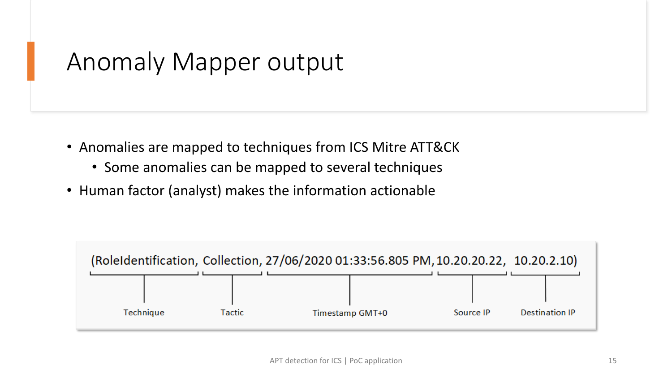### Anomaly Mapper output

- Anomalies are mapped to techniques from ICS Mitre ATT&CK
	- Some anomalies can be mapped to several techniques
- Human factor (analyst) makes the information actionable

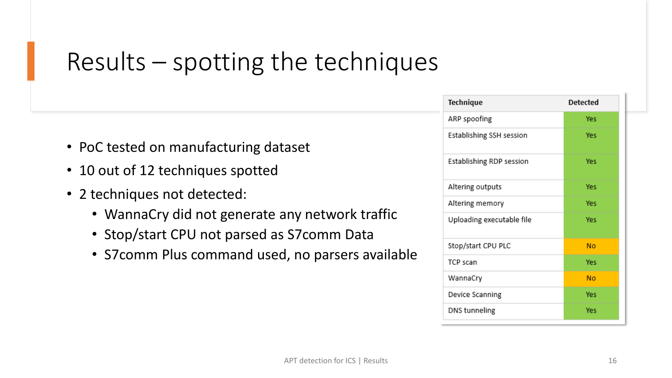# Results – spotting the techniques

- PoC tested on manufacturing dataset
- 10 out of 12 techniques spotted
- 2 techniques not detected:
	- WannaCry did not generate any network traffic
	- Stop/start CPU not parsed as S7comm Data
	- S7comm Plus command used, no parsers available

| Technique                 | <b>Detected</b> |
|---------------------------|-----------------|
| ARP spoofing              | Yes             |
| Establishing SSH session  | Yes             |
| Establishing RDP session  | Yes             |
| Altering outputs          | Yes             |
| Altering memory           | Yes             |
| Uploading executable file | Yes             |
| Stop/start CPU PLC        | No              |
| TCP scan                  | Yes             |
| WannaCry                  | No              |
| Device Scanning           | Yes             |
| DNS tunneling             | Yes             |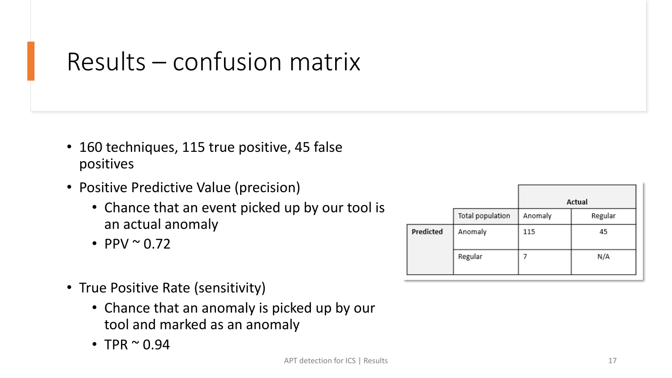# Results – confusion matrix

- 160 techniques, 115 true positive, 45 false positives
- Positive Predictive Value (precision)
	- Chance that an event picked up by our tool is an actual anomaly
	- PPV  $\sim 0.72$
- True Positive Rate (sensitivity)
	- Chance that an anomaly is picked up by our tool and marked as an anomaly
	- TPR  $\sim 0.94$

|           |                  |         | Actual  |  |
|-----------|------------------|---------|---------|--|
|           | Total population | Anomaly | Regular |  |
| Predicted | Anomaly          | 115     | 45      |  |
|           | Regular          |         | N/A     |  |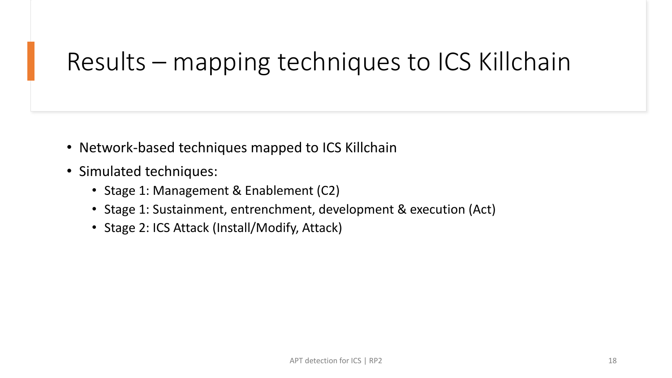# Results – mapping techniques to ICS Killchain

- Network-based techniques mapped to ICS Killchain
- Simulated techniques:
	- Stage 1: Management & Enablement (C2)
	- Stage 1: Sustainment, entrenchment, development & execution (Act)
	- Stage 2: ICS Attack (Install/Modify, Attack)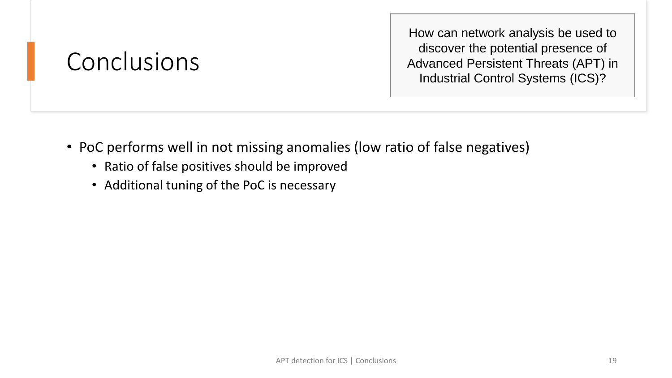# Conclusions

How can network analysis be used to discover the potential presence of Advanced Persistent Threats (APT) in Industrial Control Systems (ICS)?

- PoC performs well in not missing anomalies (low ratio of false negatives)
	- Ratio of false positives should be improved
	- Additional tuning of the PoC is necessary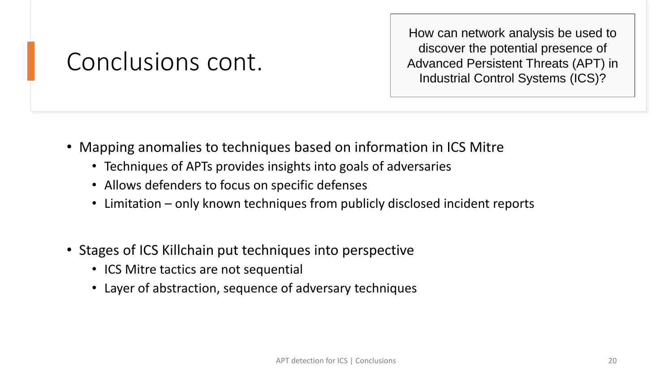# Conclusions cont.

How can network analysis be used to discover the potential presence of Advanced Persistent Threats (APT) in Industrial Control Systems (ICS)?

- Mapping anomalies to techniques based on information in ICS Mitre
	- Techniques of APTs provides insights into goals of adversaries
	- Allows defenders to focus on specific defenses
	- Limitation only known techniques from publicly disclosed incident reports
- Stages of ICS Killchain put techniques into perspective
	- ICS Mitre tactics are not sequential
	- Layer of abstraction, sequence of adversary techniques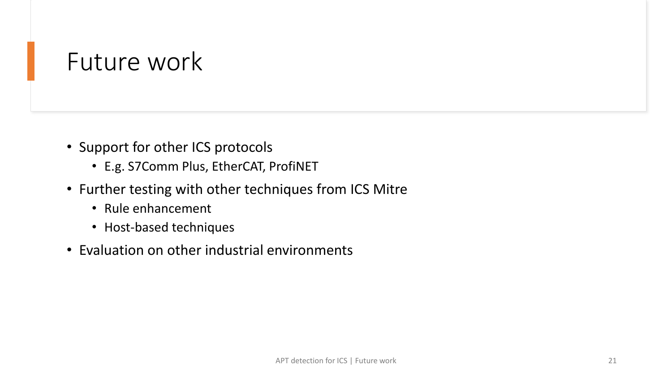### Future work

- Support for other ICS protocols
	- E.g. S7Comm Plus, EtherCAT, ProfiNET
- Further testing with other techniques from ICS Mitre
	- Rule enhancement
	- Host-based techniques
- Evaluation on other industrial environments